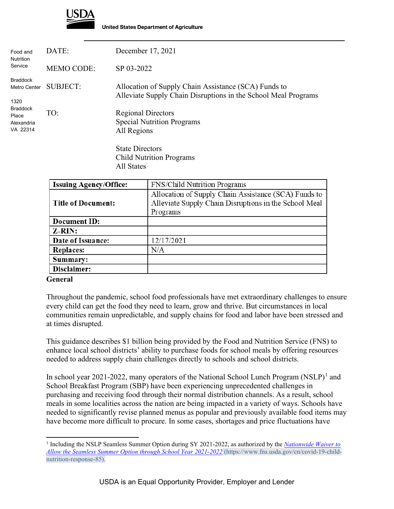

| Food and<br><b>Nutrition</b>                                                                  | DATE:             | December 17, 2021                                                                                                      |
|-----------------------------------------------------------------------------------------------|-------------------|------------------------------------------------------------------------------------------------------------------------|
| Service                                                                                       | <b>MEMO CODE:</b> | SP 03-2022                                                                                                             |
| <b>Braddock</b><br>Metro Center<br>1320<br><b>Braddock</b><br>Place<br>Alexandria<br>VA 22314 | <b>SUBJECT:</b>   | Allocation of Supply Chain Assistance (SCA) Funds to<br>Alleviate Supply Chain Disruptions in the School Meal Programs |
|                                                                                               | TO:               | <b>Regional Directors</b><br><b>Special Nutrition Programs</b><br>All Regions                                          |
|                                                                                               |                   | <b>State Directors</b><br><b>Child Nutrition Programs</b><br>All States                                                |

| <b>Issuing Agency/Office:</b> | <b>FNS/Child Nutrition Programs</b>                                                                                       |
|-------------------------------|---------------------------------------------------------------------------------------------------------------------------|
| <b>Title of Document:</b>     | Allocation of Supply Chain Assistance (SCA) Funds to<br>Alleviate Supply Chain Disruptions in the School Meal<br>Programs |
| Document ID:                  |                                                                                                                           |
| $Z-RIN:$                      |                                                                                                                           |
| Date of Issuance:             | 12/17/2021                                                                                                                |
| <b>Replaces:</b>              | N/A                                                                                                                       |
| Summary:                      |                                                                                                                           |
| Disclaimer:                   |                                                                                                                           |

#### **General**

Throughout the pandemic, school food professionals have met extraordinary challenges to ensure every child can get the food they need to learn, grow and thrive. But circumstances in local communities remain unpredictable, and supply chains for food and labor have been stressed and at times disrupted.

This guidance describes \$1 billion being provided by the Food and Nutrition Service (FNS) to enhance local school districts' ability to purchase foods for school meals by offering resources needed to address supply chain challenges directly to schools and school districts.

In school year 202[1](#page-0-0)-2022, many operators of the National School Lunch Program (NSLP)<sup>1</sup> and School Breakfast Program (SBP) have been experiencing unprecedented challenges in purchasing and receiving food through their normal distribution channels. As a result, school meals in some localities across the nation are being impacted in a variety of ways. Schools have needed to significantly revise planned menus as popular and previously available food items may have become more difficult to procure. In some cases, shortages and price fluctuations have

<span id="page-0-0"></span><sup>1</sup> Including the NSLP Seamless Summer Option during SY 2021-2022, as authorized by the *[Nationwide Waiver to](https://www.fns.usda.gov/cn/covid-19-child-nutrition-response-85)  [Allow the Seamless Summer Option through School Year 2021-2022](https://www.fns.usda.gov/cn/covid-19-child-nutrition-response-85)* (https://www.fns.usda.gov/cn/covid-19-childnutrition-response-85).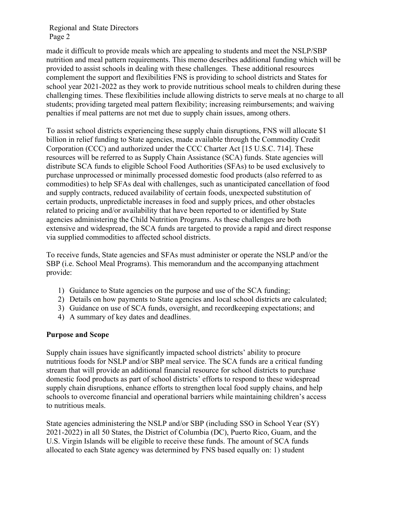made it difficult to provide meals which are appealing to students and meet the NSLP/SBP nutrition and meal pattern requirements. This memo describes additional funding which will be provided to assist schools in dealing with these challenges. These additional resources complement the support and flexibilities FNS is providing to school districts and States for school year 2021-2022 as they work to provide nutritious school meals to children during these challenging times. These flexibilities include allowing districts to serve meals at no charge to all students; providing targeted meal pattern flexibility; increasing reimbursements; and waiving penalties if meal patterns are not met due to supply chain issues, among others.

To assist school districts experiencing these supply chain disruptions, FNS will allocate \$1 billion in relief funding to State agencies, made available through the Commodity Credit Corporation (CCC) and authorized under the CCC Charter Act [15 U.S.C. 714]. These resources will be referred to as Supply Chain Assistance (SCA) funds. State agencies will distribute SCA funds to eligible School Food Authorities (SFAs) to be used exclusively to purchase unprocessed or minimally processed domestic food products (also referred to as commodities) to help SFAs deal with challenges, such as unanticipated cancellation of food and supply contracts, reduced availability of certain foods, unexpected substitution of certain products, unpredictable increases in food and supply prices, and other obstacles related to pricing and/or availability that have been reported to or identified by State agencies administering the Child Nutrition Programs. As these challenges are both extensive and widespread, the SCA funds are targeted to provide a rapid and direct response via supplied commodities to affected school districts.

To receive funds, State agencies and SFAs must administer or operate the NSLP and/or the SBP (i.e. School Meal Programs). This memorandum and the accompanying attachment provide:

- 1) Guidance to State agencies on the purpose and use of the SCA funding;
- 2) Details on how payments to State agencies and local school districts are calculated;
- 3) Guidance on use of SCA funds, oversight, and recordkeeping expectations; and
- 4) A summary of key dates and deadlines.

#### **Purpose and Scope**

Supply chain issues have significantly impacted school districts' ability to procure nutritious foods for NSLP and/or SBP meal service. The SCA funds are a critical funding stream that will provide an additional financial resource for school districts to purchase domestic food products as part of school districts' efforts to respond to these widespread supply chain disruptions, enhance efforts to strengthen local food supply chains, and help schools to overcome financial and operational barriers while maintaining children's access to nutritious meals.

State agencies administering the NSLP and/or SBP (including SSO in School Year (SY) 2021-2022) in all 50 States, the District of Columbia (DC), Puerto Rico, Guam, and the U.S. Virgin Islands will be eligible to receive these funds. The amount of SCA funds allocated to each State agency was determined by FNS based equally on: 1) student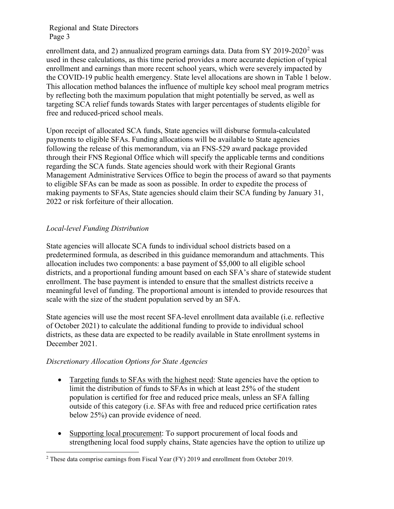enrollment data, and 2) annualized program earnings data. Data from SY 2019-2020<sup>2</sup> was used in these calculations, as this time period provides a more accurate depiction of typical enrollment and earnings than more recent school years, which were severely impacted by the COVID-19 public health emergency. State level allocations are shown in Table 1 below. This allocation method balances the influence of multiple key school meal program metrics by reflecting both the maximum population that might potentially be served, as well as targeting SCA relief funds towards States with larger percentages of students eligible for free and reduced-priced school meals.

Upon receipt of allocated SCA funds, State agencies will disburse formula-calculated payments to eligible SFAs. Funding allocations will be available to State agencies following the release of this memorandum, via an FNS-529 award package provided through their FNS Regional Office which will specify the applicable terms and conditions regarding the SCA funds. State agencies should work with their Regional Grants Management Administrative Services Office to begin the process of award so that payments to eligible SFAs can be made as soon as possible. In order to expedite the process of making payments to SFAs, State agencies should claim their SCA funding by January 31, 2022 or risk forfeiture of their allocation.

# *Local-level Funding Distribution*

State agencies will allocate SCA funds to individual school districts based on a predetermined formula, as described in this guidance memorandum and attachments. This allocation includes two components: a base payment of \$5,000 to all eligible school districts, and a proportional funding amount based on each SFA's share of statewide student enrollment. The base payment is intended to ensure that the smallest districts receive a meaningful level of funding. The proportional amount is intended to provide resources that scale with the size of the student population served by an SFA.

State agencies will use the most recent SFA-level enrollment data available (i.e. reflective of October 2021) to calculate the additional funding to provide to individual school districts, as these data are expected to be readily available in State enrollment systems in December 2021.

# *Discretionary Allocation Options for State Agencies*

- Targeting funds to SFAs with the highest need: State agencies have the option to limit the distribution of funds to SFAs in which at least 25% of the student population is certified for free and reduced price meals, unless an SFA falling outside of this category (i.e. SFAs with free and reduced price certification rates below 25%) can provide evidence of need.
- Supporting local procurement: To support procurement of local foods and strengthening local food supply chains, State agencies have the option to utilize up

<sup>&</sup>lt;sup>2</sup> These data comprise earnings from Fiscal Year (FY) 2019 and enrollment from October 2019.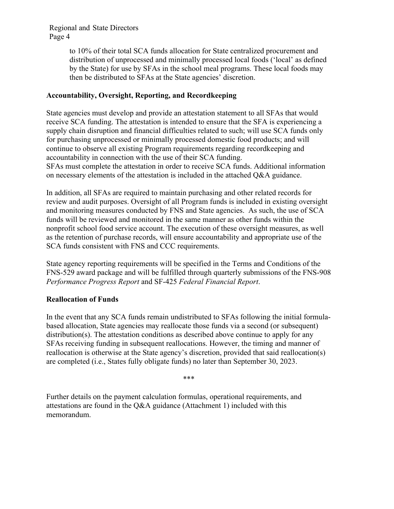to 10% of their total SCA funds allocation for State centralized procurement and distribution of unprocessed and minimally processed local foods ('local' as defined by the State) for use by SFAs in the school meal programs. These local foods may then be distributed to SFAs at the State agencies' discretion.

# **Accountability, Oversight, Reporting, and Recordkeeping**

State agencies must develop and provide an attestation statement to all SFAs that would receive SCA funding. The attestation is intended to ensure that the SFA is experiencing a supply chain disruption and financial difficulties related to such; will use SCA funds only for purchasing unprocessed or minimally processed domestic food products; and will continue to observe all existing Program requirements regarding recordkeeping and accountability in connection with the use of their SCA funding. SFAs must complete the attestation in order to receive SCA funds. Additional information on necessary elements of the attestation is included in the attached Q&A guidance.

In addition, all SFAs are required to maintain purchasing and other related records for review and audit purposes. Oversight of all Program funds is included in existing oversight and monitoring measures conducted by FNS and State agencies. As such, the use of SCA funds will be reviewed and monitored in the same manner as other funds within the nonprofit school food service account. The execution of these oversight measures, as well as the retention of purchase records, will ensure accountability and appropriate use of the SCA funds consistent with FNS and CCC requirements.

State agency reporting requirements will be specified in the Terms and Conditions of the FNS-529 award package and will be fulfilled through quarterly submissions of the FNS-908 *Performance Progress Report* and SF-425 *Federal Financial Report*.

# **Reallocation of Funds**

In the event that any SCA funds remain undistributed to SFAs following the initial formulabased allocation, State agencies may reallocate those funds via a second (or subsequent) distribution(s). The attestation conditions as described above continue to apply for any SFAs receiving funding in subsequent reallocations. However, the timing and manner of reallocation is otherwise at the State agency's discretion, provided that said reallocation(s) are completed (i.e., States fully obligate funds) no later than September 30, 2023.

\*\*\*

Further details on the payment calculation formulas, operational requirements, and attestations are found in the Q&A guidance (Attachment 1) included with this memorandum.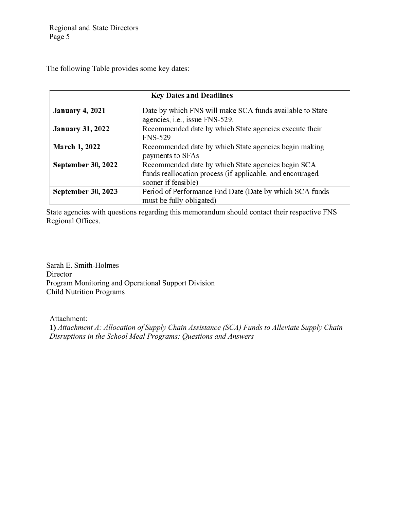The following Table provides some key dates:

| <b>Key Dates and Deadlines</b> |                                                                                                                                        |  |  |  |
|--------------------------------|----------------------------------------------------------------------------------------------------------------------------------------|--|--|--|
| <b>January 4, 2021</b>         | Date by which FNS will make SCA funds available to State<br>agencies, i.e., issue FNS-529.                                             |  |  |  |
| <b>January 31, 2022</b>        | Recommended date by which State agencies execute their<br><b>FNS-529</b>                                                               |  |  |  |
| <b>March 1, 2022</b>           | Recommended date by which State agencies begin making<br>payments to SFAs                                                              |  |  |  |
| <b>September 30, 2022</b>      | Recommended date by which State agencies begin SCA<br>funds reallocation process (if applicable, and encouraged<br>sooner if feasible) |  |  |  |
| <b>September 30, 2023</b>      | Period of Performance End Date (Date by which SCA funds<br>must be fully obligated)                                                    |  |  |  |

State agencies with questions regarding this memorandum should contact their respective FNS Regional Offices.

Sarah E. Smith-Holmes Director Program Monitoring and Operational Support Division Child Nutrition Programs

Attachment:

**1)** *Attachment A: Allocation of Supply Chain Assistance (SCA) Funds to Alleviate Supply Chain Disruptions in the School Meal Programs: Questions and Answers*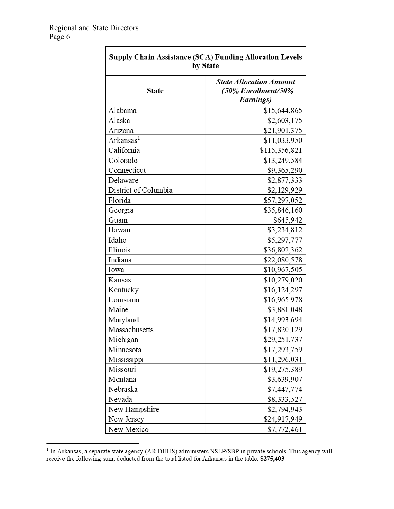| <b>Supply Chain Assistance (SCA) Funding Allocation Levels</b><br>by State |                                                                    |  |  |  |
|----------------------------------------------------------------------------|--------------------------------------------------------------------|--|--|--|
| <b>State</b>                                                               | <b>State Allocation Amount</b><br>(50% Enrollment/50%<br>Earnings) |  |  |  |
| Alabama                                                                    | \$15,644,865                                                       |  |  |  |
| Alaska                                                                     | \$2,603,175                                                        |  |  |  |
| Arizona                                                                    | \$21,901,375                                                       |  |  |  |
| Arkansas <sup>1</sup>                                                      | \$11,033,950                                                       |  |  |  |
| California                                                                 | \$115,356,821                                                      |  |  |  |
| Colorado                                                                   | \$13,249,584                                                       |  |  |  |
| Connecticut                                                                | \$9,365,290                                                        |  |  |  |
| Delaware                                                                   | \$2,877,333                                                        |  |  |  |
| District of Columbia                                                       | \$2,129,929                                                        |  |  |  |
| Florida                                                                    | \$57,297,052                                                       |  |  |  |
| Georgia                                                                    | \$35,846,160                                                       |  |  |  |
| Guam                                                                       | \$645,942                                                          |  |  |  |
| Hawaii                                                                     | \$3,234,812                                                        |  |  |  |
| Idaho                                                                      | \$5,297,777                                                        |  |  |  |
| Illinois                                                                   | \$36,802,362                                                       |  |  |  |
| Indiana                                                                    | \$22,080,578                                                       |  |  |  |
| Iowa                                                                       | \$10,967,505                                                       |  |  |  |
| Kansas                                                                     | \$10,279,020                                                       |  |  |  |
| Kentucky                                                                   | \$16,124,297                                                       |  |  |  |
| Louisiana                                                                  | \$16,965,978                                                       |  |  |  |
| Maine                                                                      | \$3,881,048                                                        |  |  |  |
| Maryland                                                                   | \$14,993,694                                                       |  |  |  |
| Massachusetts                                                              | \$17,820,129                                                       |  |  |  |
| Michigan                                                                   | \$29,251,737                                                       |  |  |  |
| Minnesota                                                                  | \$17,293,759                                                       |  |  |  |
| Mississippi                                                                | \$11,296,031                                                       |  |  |  |
| Missouri                                                                   | \$19,275,389                                                       |  |  |  |
| Montana                                                                    | \$3,639,907                                                        |  |  |  |
| Nebraska                                                                   | \$7,447,774                                                        |  |  |  |
| Nevada                                                                     | \$8,333,527                                                        |  |  |  |
| New Hampshire                                                              | \$2,794,943                                                        |  |  |  |
| New Jersey                                                                 | \$24,917,949                                                       |  |  |  |
| New Mexico                                                                 | \$7,772,461                                                        |  |  |  |

<sup>&</sup>lt;sup>1</sup> In Arkansas, a separate state agency (AR DHHS) administers NSLP/SBP in private schools. This agency will receive the following sum, deducted from the total listed for Arkansas in the table:  $$275,403$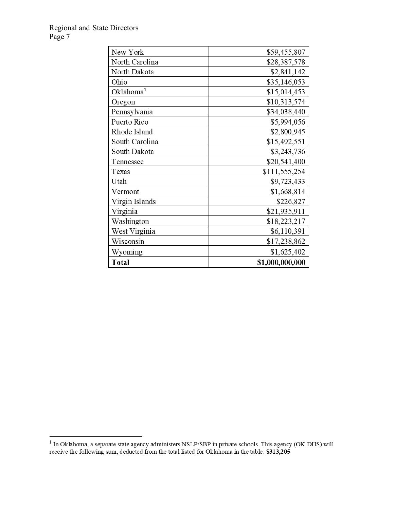| New York              | \$59,455,807    |
|-----------------------|-----------------|
| North Carolina        | \$28,387,578    |
| North Dakota          | \$2,841,142     |
| Ohio                  | \$35,146,053    |
| Oklahoma <sup>1</sup> | \$15,014,453    |
| Oregon                | \$10,313,574    |
| Pennsylvania          | \$34,038,440    |
| Puerto Rico           | \$5,994,056     |
| Rhode Island          | \$2,800,945     |
| South Carolina        | \$15,492,551    |
| South Dakota          | \$3,243,736     |
| Tennessee             | \$20,541,400    |
| Texas                 | \$111,555,254   |
| Utah                  | \$9,723,433     |
| Vermont               | \$1,668,814     |
| Virgin Islands        | \$226,827       |
| Virginia              | \$21,935,911    |
| Washington            | \$18,223,217    |
| West Virginia         | \$6,110,391     |
| Wisconsin             | \$17,238,862    |
| Wyoming               | \$1,625,402     |
| Total                 | \$1,000,000,000 |

<sup>&</sup>lt;sup>1</sup> In Oklahoma, a separate state agency administers NSLP/SBP in private schools. This agency (OK DHS) will receive the following sum, deducted from the total listed for Oklahoma in the table:  $\$313,205$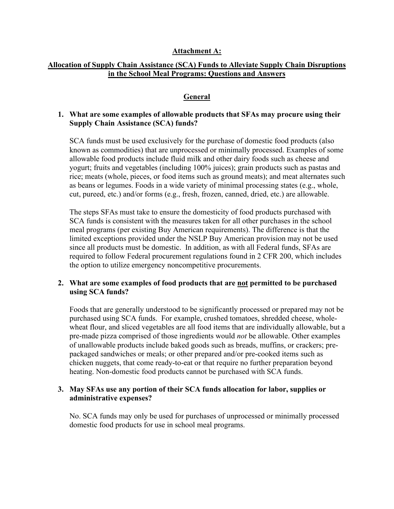#### **Attachment A:**

#### **Allocation of Supply Chain Assistance (SCA) Funds to Alleviate Supply Chain Disruptions in the School Meal Programs: Questions and Answers**

#### **General**

#### **1. What are some examples of allowable products that SFAs may procure using their Supply Chain Assistance (SCA) funds?**

SCA funds must be used exclusively for the purchase of domestic food products (also known as commodities) that are unprocessed or minimally processed. Examples of some allowable food products include fluid milk and other dairy foods such as cheese and yogurt; fruits and vegetables (including 100% juices); grain products such as pastas and rice; meats (whole, pieces, or food items such as ground meats); and meat alternates such as beans or legumes. Foods in a wide variety of minimal processing states (e.g., whole, cut, pureed, etc.) and/or forms (e.g., fresh, frozen, canned, dried, etc.) are allowable.

The steps SFAs must take to ensure the domesticity of food products purchased with SCA funds is consistent with the measures taken for all other purchases in the school meal programs (per existing Buy American requirements). The difference is that the limited exceptions provided under the NSLP Buy American provision may not be used since all products must be domestic. In addition, as with all Federal funds, SFAs are required to follow Federal procurement regulations found in 2 CFR 200, which includes the option to utilize emergency noncompetitive procurements.

### **2. What are some examples of food products that are not permitted to be purchased using SCA funds?**

Foods that are generally understood to be significantly processed or prepared may not be purchased using SCA funds. For example, crushed tomatoes, shredded cheese, wholewheat flour, and sliced vegetables are all food items that are individually allowable, but a pre-made pizza comprised of those ingredients would *not* be allowable. Other examples of unallowable products include baked goods such as breads, muffins, or crackers; prepackaged sandwiches or meals; or other prepared and/or pre-cooked items such as chicken nuggets, that come ready-to-eat or that require no further preparation beyond heating. Non-domestic food products cannot be purchased with SCA funds.

#### **3. May SFAs use any portion of their SCA funds allocation for labor, supplies or administrative expenses?**

No. SCA funds may only be used for purchases of unprocessed or minimally processed domestic food products for use in school meal programs.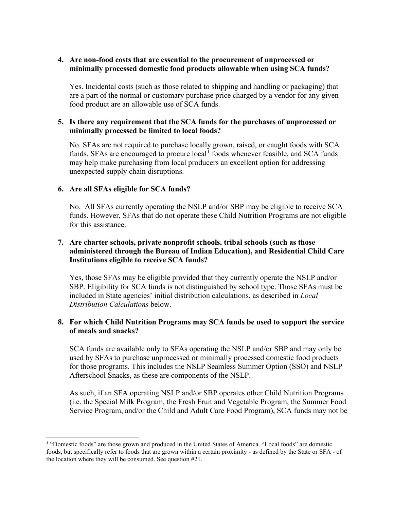### **4. Are non-food costs that are essential to the procurement of unprocessed or minimally processed domestic food products allowable when using SCA funds?**

Yes. Incidental costs (such as those related to shipping and handling or packaging) that are a part of the normal or customary purchase price charged by a vendor for any given food product are an allowable use of SCA funds.

#### **5. Is there any requirement that the SCA funds for the purchases of unprocessed or minimally processed be limited to local foods?**

No. SFAs are not required to purchase locally grown, raised, or caught foods with SCA funds. SFAs are encouraged to procure  $local<sup>1</sup>$  $local<sup>1</sup>$  $local<sup>1</sup>$  foods whenever feasible, and SCA funds may help make purchasing from local producers an excellent option for addressing unexpected supply chain disruptions.

### **6. Are all SFAs eligible for SCA funds?**

No. All SFAs currently operating the NSLP and/or SBP may be eligible to receive SCA funds. However, SFAs that do not operate these Child Nutrition Programs are not eligible for this assistance.

### **7. Are charter schools, private nonprofit schools, tribal schools (such as those administered through the Bureau of Indian Education), and Residential Child Care Institutions eligible to receive SCA funds?**

Yes, those SFAs may be eligible provided that they currently operate the NSLP and/or SBP. Eligibility for SCA funds is not distinguished by school type. Those SFAs must be included in State agencies' initial distribution calculations, as described in *Local Distribution Calculations* below.

### **8. For which Child Nutrition Programs may SCA funds be used to support the service of meals and snacks?**

SCA funds are available only to SFAs operating the NSLP and/or SBP and may only be used by SFAs to purchase unprocessed or minimally processed domestic food products for those programs. This includes the NSLP Seamless Summer Option (SSO) and NSLP Afterschool Snacks, as these are components of the NSLP.

As such, if an SFA operating NSLP and/or SBP operates other Child Nutrition Programs (i.e. the Special Milk Program, the Fresh Fruit and Vegetable Program, the Summer Food Service Program, and/or the Child and Adult Care Food Program), SCA funds may not be

<span id="page-8-0"></span><sup>1</sup> "Domestic foods" are those grown and produced in the United States of America. "Local foods" are domestic foods, but specifically refer to foods that are grown within a certain proximity - as defined by the State or SFA - of the location where they will be consumed. See question #21.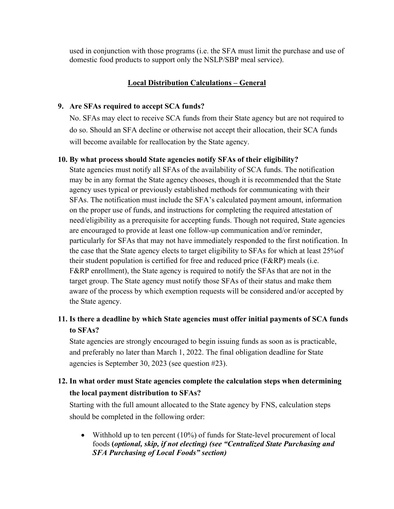used in conjunction with those programs (i.e. the SFA must limit the purchase and use of domestic food products to support only the NSLP/SBP meal service).

# **Local Distribution Calculations – General**

### **9. Are SFAs required to accept SCA funds?**

No. SFAs may elect to receive SCA funds from their State agency but are not required to do so. Should an SFA decline or otherwise not accept their allocation, their SCA funds will become available for reallocation by the State agency.

# **10. By what process should State agencies notify SFAs of their eligibility?**

State agencies must notify all SFAs of the availability of SCA funds. The notification may be in any format the State agency chooses, though it is recommended that the State agency uses typical or previously established methods for communicating with their SFAs. The notification must include the SFA's calculated payment amount, information on the proper use of funds, and instructions for completing the required attestation of need/eligibility as a prerequisite for accepting funds. Though not required, State agencies are encouraged to provide at least one follow-up communication and/or reminder, particularly for SFAs that may not have immediately responded to the first notification. In the case that the State agency elects to target eligibility to SFAs for which at least 25%of their student population is certified for free and reduced price (F&RP) meals (i.e. F&RP enrollment), the State agency is required to notify the SFAs that are not in the target group. The State agency must notify those SFAs of their status and make them aware of the process by which exemption requests will be considered and/or accepted by the State agency.

# **11. Is there a deadline by which State agencies must offer initial payments of SCA funds to SFAs?**

State agencies are strongly encouraged to begin issuing funds as soon as is practicable, and preferably no later than March 1, 2022. The final obligation deadline for State agencies is September 30, 2023 (see question #23).

# **12. In what order must State agencies complete the calculation steps when determining the local payment distribution to SFAs?**

Starting with the full amount allocated to the State agency by FNS, calculation steps should be completed in the following order:

• Withhold up to ten percent (10%) of funds for State-level procurement of local foods **(***optional, skip, if not electing) (see "Centralized State Purchasing and SFA Purchasing of Local Foods" section)*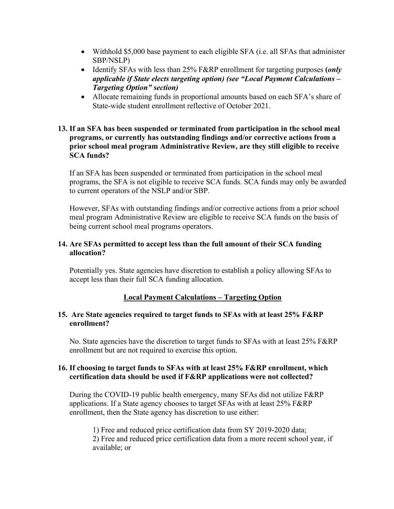- Withhold \$5,000 base payment to each eligible SFA (i.e. all SFAs that administer SBP/NSLP)
- Identify SFAs with less than 25% F&RP enrollment for targeting purposes **(***only applicable if State elects targeting option) (see "Local Payment Calculations – Targeting Option" section)*
- Allocate remaining funds in proportional amounts based on each SFA's share of State-wide student enrollment reflective of October 2021.

### **13. If an SFA has been suspended or terminated from participation in the school meal programs, or currently has outstanding findings and/or corrective actions from a prior school meal program Administrative Review, are they still eligible to receive SCA funds?**

If an SFA has been suspended or terminated from participation in the school meal programs, the SFA is not eligible to receive SCA funds. SCA funds may only be awarded to current operators of the NSLP and/or SBP.

However, SFAs with outstanding findings and/or corrective actions from a prior school meal program Administrative Review are eligible to receive SCA funds on the basis of being current school meal programs operators.

# **14. Are SFAs permitted to accept less than the full amount of their SCA funding allocation?**

Potentially yes. State agencies have discretion to establish a policy allowing SFAs to accept less than their full SCA funding allocation.

# **Local Payment Calculations – Targeting Option**

### **15. Are State agencies required to target funds to SFAs with at least 25% F&RP enrollment?**

No. State agencies have the discretion to target funds to SFAs with at least 25% F&RP enrollment but are not required to exercise this option.

# **16. If choosing to target funds to SFAs with at least 25% F&RP enrollment, which certification data should be used if F&RP applications were not collected?**

During the COVID-19 public health emergency, many SFAs did not utilize F&RP applications. If a State agency chooses to target SFAs with at least 25% F&RP enrollment, then the State agency has discretion to use either:

1) Free and reduced price certification data from SY 2019-2020 data; 2) Free and reduced price certification data from a more recent school year, if available; or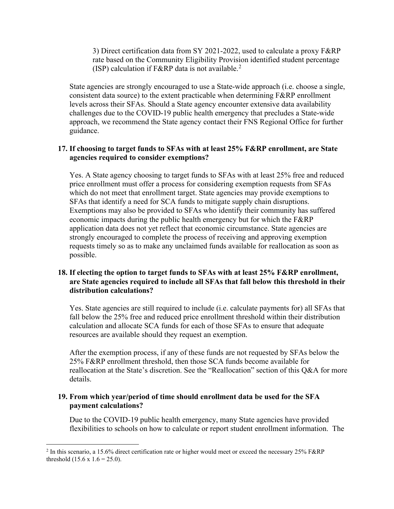3) Direct certification data from SY 2021-2022, used to calculate a proxy F&RP rate based on the Community Eligibility Provision identified student percentage (ISP) calculation if F&RP data is not available.<sup>[2](#page-11-0)</sup>

State agencies are strongly encouraged to use a State-wide approach (i.e. choose a single, consistent data source) to the extent practicable when determining F&RP enrollment levels across their SFAs. Should a State agency encounter extensive data availability challenges due to the COVID-19 public health emergency that precludes a State-wide approach, we recommend the State agency contact their FNS Regional Office for further guidance.

### **17. If choosing to target funds to SFAs with at least 25% F&RP enrollment, are State agencies required to consider exemptions?**

Yes. A State agency choosing to target funds to SFAs with at least 25% free and reduced price enrollment must offer a process for considering exemption requests from SFAs which do not meet that enrollment target. State agencies may provide exemptions to SFAs that identify a need for SCA funds to mitigate supply chain disruptions. Exemptions may also be provided to SFAs who identify their community has suffered economic impacts during the public health emergency but for which the F&RP application data does not yet reflect that economic circumstance. State agencies are strongly encouraged to complete the process of receiving and approving exemption requests timely so as to make any unclaimed funds available for reallocation as soon as possible.

# **18. If electing the option to target funds to SFAs with at least 25% F&RP enrollment, are State agencies required to include all SFAs that fall below this threshold in their distribution calculations?**

Yes. State agencies are still required to include (i.e. calculate payments for) all SFAs that fall below the 25% free and reduced price enrollment threshold within their distribution calculation and allocate SCA funds for each of those SFAs to ensure that adequate resources are available should they request an exemption.

After the exemption process, if any of these funds are not requested by SFAs below the 25% F&RP enrollment threshold, then those SCA funds become available for reallocation at the State's discretion. See the "Reallocation" section of this Q&A for more details.

# **19. From which year/period of time should enrollment data be used for the SFA payment calculations?**

Due to the COVID-19 public health emergency, many State agencies have provided flexibilities to schools on how to calculate or report student enrollment information. The

<span id="page-11-0"></span><sup>&</sup>lt;sup>2</sup> In this scenario, a 15.6% direct certification rate or higher would meet or exceed the necessary 25% F&RP threshold  $(15.6 \times 1.6 = 25.0)$ .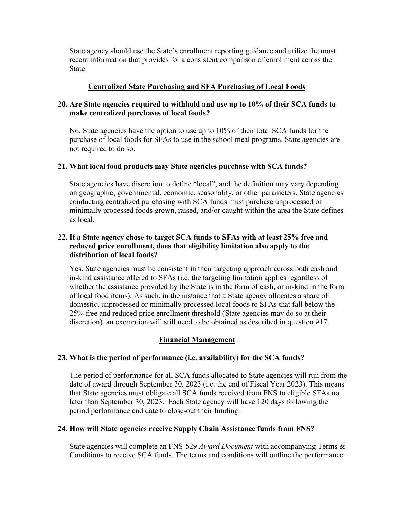State agency should use the State's enrollment reporting guidance and utilize the most recent information that provides for a consistent comparison of enrollment across the State.

### **Centralized State Purchasing and SFA Purchasing of Local Foods**

# **20. Are State agencies required to withhold and use up to 10% of their SCA funds to make centralized purchases of local foods?**

No. State agencies have the option to use up to 10% of their total SCA funds for the purchase of local foods for SFAs to use in the school meal programs. State agencies are not required to do so.

# **21. What local food products may State agencies purchase with SCA funds?**

State agencies have discretion to define "local", and the definition may vary depending on geographic, governmental, economic, seasonality, or other parameters. State agencies conducting centralized purchasing with SCA funds must purchase unprocessed or minimally processed foods grown, raised, and/or caught within the area the State defines as local.

# **22. If a State agency chose to target SCA funds to SFAs with at least 25% free and reduced price enrollment, does that eligibility limitation also apply to the distribution of local foods?**

Yes. State agencies must be consistent in their targeting approach across both cash and in-kind assistance offered to SFAs (i.e. the targeting limitation applies regardless of whether the assistance provided by the State is in the form of cash, or in-kind in the form of local food items). As such, in the instance that a State agency allocates a share of domestic, unprocessed or minimally processed local foods to SFAs that fall below the 25% free and reduced price enrollment threshold (State agencies may do so at their discretion), an exemption will still need to be obtained as described in question #17.

# **Financial Management**

# **23. What is the period of performance (i.e. availability) for the SCA funds?**

The period of performance for all SCA funds allocated to State agencies will run from the date of award through September 30, 2023 (i.e. the end of Fiscal Year 2023). This means that State agencies must obligate all SCA funds received from FNS to eligible SFAs no later than September 30, 2023. Each State agency will have 120 days following the period performance end date to close-out their funding.

# **24. How will State agencies receive Supply Chain Assistance funds from FNS?**

State agencies will complete an FNS-529 *Award Document* with accompanying Terms & Conditions to receive SCA funds. The terms and conditions will outline the performance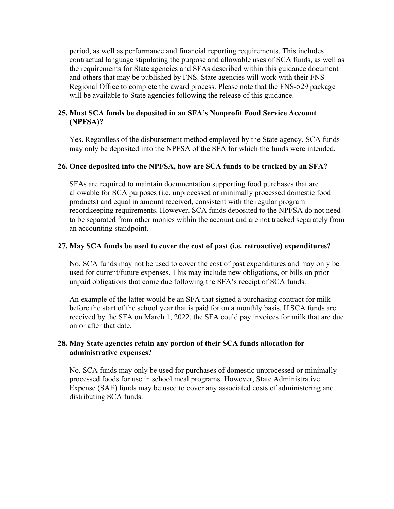period, as well as performance and financial reporting requirements. This includes contractual language stipulating the purpose and allowable uses of SCA funds, as well as the requirements for State agencies and SFAs described within this guidance document and others that may be published by FNS. State agencies will work with their FNS Regional Office to complete the award process. Please note that the FNS-529 package will be available to State agencies following the release of this guidance.

#### **25. Must SCA funds be deposited in an SFA's Nonprofit Food Service Account (NPFSA)?**

Yes. Regardless of the disbursement method employed by the State agency, SCA funds may only be deposited into the NPFSA of the SFA for which the funds were intended.

#### **26. Once deposited into the NPFSA, how are SCA funds to be tracked by an SFA?**

SFAs are required to maintain documentation supporting food purchases that are allowable for SCA purposes (i.e. unprocessed or minimally processed domestic food products) and equal in amount received, consistent with the regular program recordkeeping requirements. However, SCA funds deposited to the NPFSA do not need to be separated from other monies within the account and are not tracked separately from an accounting standpoint.

### **27. May SCA funds be used to cover the cost of past (i.e. retroactive) expenditures?**

No. SCA funds may not be used to cover the cost of past expenditures and may only be used for current/future expenses. This may include new obligations, or bills on prior unpaid obligations that come due following the SFA's receipt of SCA funds.

An example of the latter would be an SFA that signed a purchasing contract for milk before the start of the school year that is paid for on a monthly basis. If SCA funds are received by the SFA on March 1, 2022, the SFA could pay invoices for milk that are due on or after that date.

### **28. May State agencies retain any portion of their SCA funds allocation for administrative expenses?**

No. SCA funds may only be used for purchases of domestic unprocessed or minimally processed foods for use in school meal programs. However, State Administrative Expense (SAE) funds may be used to cover any associated costs of administering and distributing SCA funds.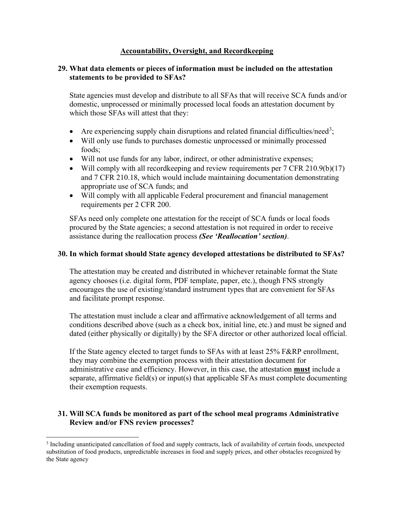# **Accountability, Oversight, and Recordkeeping**

# **29. What data elements or pieces of information must be included on the attestation statements to be provided to SFAs?**

State agencies must develop and distribute to all SFAs that will receive SCA funds and/or domestic, unprocessed or minimally processed local foods an attestation document by which those SFAs will attest that they:

- Are experiencing supply chain disruptions and related financial difficulties/need<sup>[3](#page-14-0)</sup>;
- Will only use funds to purchases domestic unprocessed or minimally processed foods;
- Will not use funds for any labor, indirect, or other administrative expenses;
- Will comply with all record keeping and review requirements per 7 CFR 210.9(b)(17) and 7 CFR 210.18, which would include maintaining documentation demonstrating appropriate use of SCA funds; and
- Will comply with all applicable Federal procurement and financial management requirements per 2 CFR 200.

SFAs need only complete one attestation for the receipt of SCA funds or local foods procured by the State agencies; a second attestation is not required in order to receive assistance during the reallocation process *(See 'Reallocation' section)*.

# **30. In which format should State agency developed attestations be distributed to SFAs?**

The attestation may be created and distributed in whichever retainable format the State agency chooses (i.e. digital form, PDF template, paper, etc.), though FNS strongly encourages the use of existing/standard instrument types that are convenient for SFAs and facilitate prompt response.

The attestation must include a clear and affirmative acknowledgement of all terms and conditions described above (such as a check box, initial line, etc.) and must be signed and dated (either physically or digitally) by the SFA director or other authorized local official.

If the State agency elected to target funds to SFAs with at least 25% F&RP enrollment, they may combine the exemption process with their attestation document for administrative ease and efficiency. However, in this case, the attestation **must** include a separate, affirmative field(s) or input(s) that applicable SFAs must complete documenting their exemption requests.

# **31. Will SCA funds be monitored as part of the school meal programs Administrative Review and/or FNS review processes?**

<span id="page-14-0"></span><sup>3</sup> Including unanticipated cancellation of food and supply contracts, lack of availability of certain foods, unexpected substitution of food products, unpredictable increases in food and supply prices, and other obstacles recognized by the State agency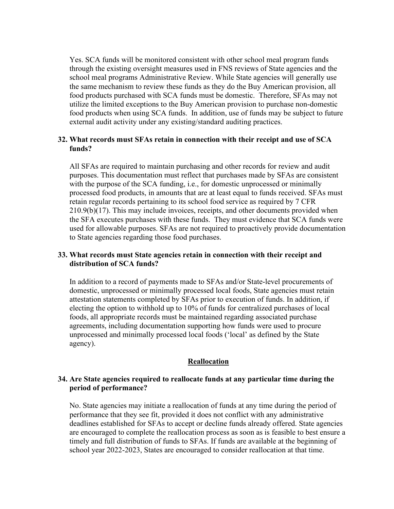Yes. SCA funds will be monitored consistent with other school meal program funds through the existing oversight measures used in FNS reviews of State agencies and the school meal programs Administrative Review. While State agencies will generally use the same mechanism to review these funds as they do the Buy American provision, all food products purchased with SCA funds must be domestic. Therefore, SFAs may not utilize the limited exceptions to the Buy American provision to purchase non-domestic food products when using SCA funds. In addition, use of funds may be subject to future external audit activity under any existing/standard auditing practices.

#### **32. What records must SFAs retain in connection with their receipt and use of SCA funds?**

All SFAs are required to maintain purchasing and other records for review and audit purposes. This documentation must reflect that purchases made by SFAs are consistent with the purpose of the SCA funding, i.e., for domestic unprocessed or minimally processed food products, in amounts that are at least equal to funds received. SFAs must retain regular records pertaining to its school food service as required by 7 CFR 210.9(b)(17). This may include invoices, receipts, and other documents provided when the SFA executes purchases with these funds. They must evidence that SCA funds were used for allowable purposes. SFAs are not required to proactively provide documentation to State agencies regarding those food purchases.

#### **33. What records must State agencies retain in connection with their receipt and distribution of SCA funds?**

In addition to a record of payments made to SFAs and/or State-level procurements of domestic, unprocessed or minimally processed local foods, State agencies must retain attestation statements completed by SFAs prior to execution of funds. In addition, if electing the option to withhold up to 10% of funds for centralized purchases of local foods, all appropriate records must be maintained regarding associated purchase agreements, including documentation supporting how funds were used to procure unprocessed and minimally processed local foods ('local' as defined by the State agency).

#### **Reallocation**

#### **34. Are State agencies required to reallocate funds at any particular time during the period of performance?**

No. State agencies may initiate a reallocation of funds at any time during the period of performance that they see fit, provided it does not conflict with any administrative deadlines established for SFAs to accept or decline funds already offered. State agencies are encouraged to complete the reallocation process as soon as is feasible to best ensure a timely and full distribution of funds to SFAs. If funds are available at the beginning of school year 2022-2023, States are encouraged to consider reallocation at that time.